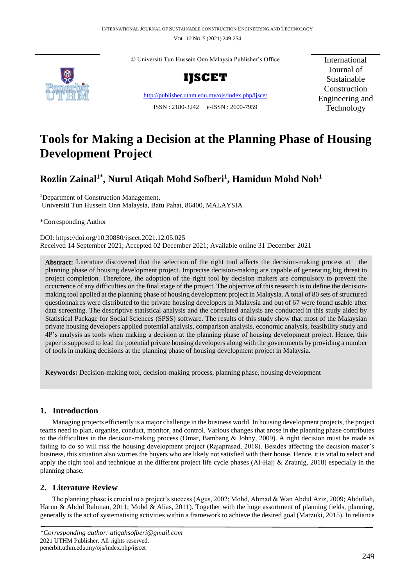VOL. 12 NO. 5 (2021) 249-254



© Universiti Tun Hussein Onn Malaysia Publisher's Office



<http://publisher.uthm.edu.my/ojs/index.php/ijscet> ISSN : 2180-3242 e-ISSN : 2600-7959

International Journal of Sustainable Construction Engineering and Technology

# **Tools for Making a Decision at the Planning Phase of Housing Development Project**

## **Rozlin Zainal1\*, Nurul Atiqah Mohd Sofberi<sup>1</sup> , Hamidun Mohd Noh<sup>1</sup>**

<sup>1</sup>Department of Construction Management, Universiti Tun Hussein Onn Malaysia, Batu Pahat, 86400, MALAYSIA

\*Corresponding Author

DOI: https://doi.org/10.30880/ijscet.2021.12.05.025 Received 14 September 2021; Accepted 02 December 2021; Available online 31 December 2021

**Abstract:** Literature discovered that the selection of the right tool affects the decision-making process at the planning phase of housing development project. Imprecise decision-making are capable of generating big threat to project completion. Therefore, the adoption of the right tool by decision makers are compulsory to prevent the occurrence of any difficulties on the final stage of the project. The objective of this research is to define the decisionmaking tool applied at the planning phase of housing development project in Malaysia. A total of 80 sets of structured questionnaires were distributed to the private housing developers in Malaysia and out of 67 were found usable after data screening. The descriptive statistical analysis and the correlated analysis are conducted in this study aided by Statistical Package for Social Sciences (SPSS) software. The results of this study show that most of the Malaysian private housing developers applied potential analysis, comparison analysis, economic analysis, feasibility study and 4P's analysis as tools when making a decision at the planning phase of housing development project. Hence, this paper is supposed to lead the potential private housing developers along with the governments by providing a number of tools in making decisions at the planning phase of housing development project in Malaysia.

**Keywords:** Decision-making tool, decision-making process, planning phase, housing development

## **1. Introduction**

 Managing projects efficiently is a major challenge in the business world. In housing development projects, the project teams need to plan, organise, conduct, monitor, and control. Various changes that arose in the planning phase contributes to the difficulties in the decision-making process (Omar, Bambang & Johny, 2009). A right decision must be made as failing to do so will risk the housing development project (Rajaprasad, 2018). Besides affecting the decision maker's business, this situation also worries the buyers who are likely not satisfied with their house. Hence, it is vital to select and apply the right tool and technique at the different project life cycle phases (Al-Hajj & Zraunig, 2018) especially in the planning phase.

## **2. Literature Review**

 The planning phase is crucial to a project's success (Agus, 2002; Mohd, Ahmad & Wan Abdul Aziz, 2009; Abdullah, Harun & Abdul Rahman, 2011; Mohd & Alias, 2011). Together with the huge assortment of planning fields, planning, generally is the act of systematising activities within a framework to achieve the desired goal (Marzuki, 2015). In reliance

*<sup>\*</sup>Corresponding author: atiqahsofberi@gmail.com* 2021 UTHM Publisher. All rights reserved. penerbit.uthm.edu.my/ojs/index.php/ijscet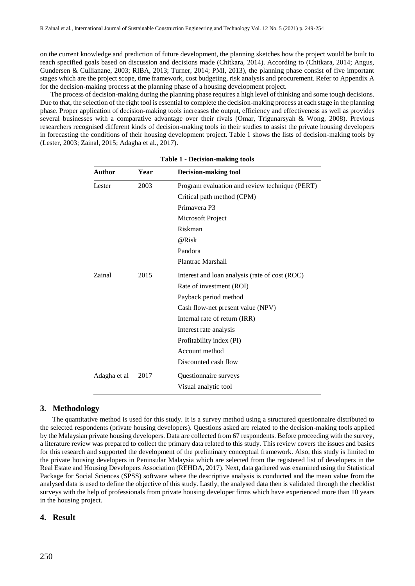on the current knowledge and prediction of future development, the planning sketches how the project would be built to reach specified goals based on discussion and decisions made (Chitkara, 2014). According to (Chitkara, 2014; Angus, Gundersen & Cullianane, 2003; RIBA, 2013; Turner, 2014; PMI, 2013), the planning phase consist of five important stages which are the project scope, time framework, cost budgeting, risk analysis and procurement. Refer to Appendix A for the decision-making process at the planning phase of a housing development project.

 The process of decision-making during the planning phase requires a high level of thinking and some tough decisions. Due to that, the selection of the right tool is essential to complete the decision-making process at each stage in the planning phase. Proper application of decision-making tools increases the output, efficiency and effectiveness as well as provides several businesses with a comparative advantage over their rivals (Omar, Trigunarsyah & Wong, 2008). Previous researchers recognised different kinds of decision-making tools in their studies to assist the private housing developers in forecasting the conditions of their housing development project. Table 1 shows the lists of decision-making tools by (Lester, 2003; Zainal, 2015; Adagha et al., 2017).

| Author<br>Year |      | <b>Decision-making tool</b>                    |
|----------------|------|------------------------------------------------|
| Lester         | 2003 | Program evaluation and review technique (PERT) |
|                |      | Critical path method (CPM)                     |
|                |      | Primayera P3                                   |
|                |      | Microsoft Project                              |
|                |      | Riskman                                        |
|                |      | @Risk                                          |
|                |      | Pandora                                        |
|                |      | Plantrac Marshall                              |
| Zainal         | 2015 | Interest and loan analysis (rate of cost (ROC) |
|                |      | Rate of investment (ROI)                       |
|                |      | Payback period method                          |
|                |      | Cash flow-net present value (NPV)              |
|                |      | Internal rate of return (IRR)                  |
|                |      | Interest rate analysis                         |
|                |      | Profitability index (PI)                       |
|                |      | Account method                                 |
|                |      | Discounted cash flow                           |
| Adagha et al   | 2017 | Questionnaire surveys                          |
|                |      | Visual analytic tool                           |

**Table 1 - Decision-making tools**

### **3. Methodology**

 The quantitative method is used for this study. It is a survey method using a structured questionnaire distributed to the selected respondents (private housing developers). Questions asked are related to the decision-making tools applied by the Malaysian private housing developers. Data are collected from 67 respondents. Before proceeding with the survey, a literature review was prepared to collect the primary data related to this study. This review covers the issues and basics for this research and supported the development of the preliminary conceptual framework. Also, this study is limited to the private housing developers in Peninsular Malaysia which are selected from the registered list of developers in the Real Estate and Housing Developers Association (REHDA, 2017). Next, data gathered was examined using the Statistical Package for Social Sciences (SPSS) software where the descriptive analysis is conducted and the mean value from the analysed data is used to define the objective of this study. Lastly, the analysed data then is validated through the checklist surveys with the help of professionals from private housing developer firms which have experienced more than 10 years in the housing project.

#### **4. Result**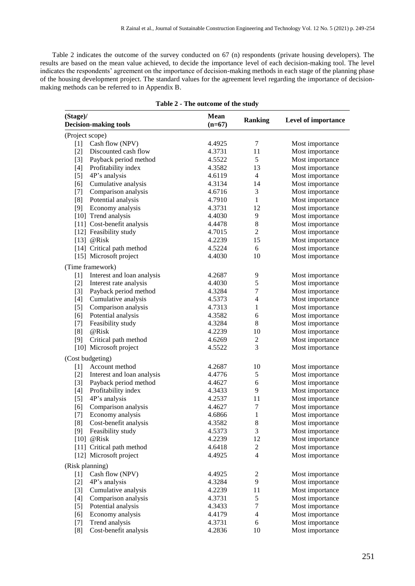Table 2 indicates the outcome of the survey conducted on 67 (n) respondents (private housing developers). The results are based on the mean value achieved, to decide the importance level of each decision-making tool. The level indicates the respondents' agreement on the importance of decision-making methods in each stage of the planning phase of the housing development project. The standard values for the agreement level regarding the importance of decisionmaking methods can be referred to in Appendix B.

| (Stage)/<br><b>Decision-making tools</b> |                            | <b>Mean</b><br>$(n=67)$ | <b>Ranking</b> | Level of importance |  |
|------------------------------------------|----------------------------|-------------------------|----------------|---------------------|--|
| (Project scope)                          |                            |                         |                |                     |  |
| $[1]$                                    | Cash flow (NPV)            | 4.4925                  | 7              | Most importance     |  |
| $[2]$                                    | Discounted cash flow       | 4.3731                  | 11             | Most importance     |  |
| $[3]$                                    | Payback period method      | 4.5522                  | 5              | Most importance     |  |
| $[4]$                                    | Profitability index        | 4.3582                  | 13             | Most importance     |  |
| $[5]$                                    | 4P's analysis              | 4.6119                  | 4              | Most importance     |  |
| [6]                                      | Cumulative analysis        | 4.3134                  | 14             | Most importance     |  |
| $[7]$                                    | Comparison analysis        | 4.6716                  | 3              | Most importance     |  |
| [8]                                      | Potential analysis         | 4.7910                  | $\mathbf{1}$   | Most importance     |  |
| [9]                                      | Economy analysis           | 4.3731                  | 12             | Most importance     |  |
|                                          | [10] Trend analysis        | 4.4030                  | 9              | Most importance     |  |
|                                          | [11] Cost-benefit analysis | 4.4478                  | 8              | Most importance     |  |
|                                          | [12] Feasibility study     | 4.7015                  | 2              | Most importance     |  |
|                                          | [13] $@Risk$               | 4.2239                  | 15             | Most importance     |  |
|                                          | [14] Critical path method  | 4.5224                  | 6              | Most importance     |  |
|                                          | [15] Microsoft project     | 4.4030                  | 10             | Most importance     |  |
|                                          | (Time framework)           |                         |                |                     |  |
| $[1]$                                    | Interest and loan analysis | 4.2687                  | 9              | Most importance     |  |
| $[2]$                                    | Interest rate analysis     | 4.4030                  | 5              | Most importance     |  |
| $[3]$                                    | Payback period method      | 4.3284                  | 7              | Most importance     |  |
| $[4]$                                    | Cumulative analysis        | 4.5373                  | 4              | Most importance     |  |
| $[5]$                                    | Comparison analysis        | 4.7313                  | 1              | Most importance     |  |
| [6]                                      | Potential analysis         | 4.3582                  | 6              | Most importance     |  |
| $[7]$                                    | Feasibility study          | 4.3284                  | 8              | Most importance     |  |
| [8]                                      | @Risk                      | 4.2239                  | 10             | Most importance     |  |
| $[9]$                                    | Critical path method       | 4.6269                  | $\mathfrak{2}$ | Most importance     |  |
|                                          | [10] Microsoft project     | 4.5522                  | 3              | Most importance     |  |
|                                          | (Cost budgeting)           |                         |                |                     |  |
| $[1]$                                    | Account method             | 4.2687                  | 10             | Most importance     |  |
| $[2]$                                    | Interest and loan analysis | 4.4776                  | 5              | Most importance     |  |
| $[3]$                                    | Payback period method      | 4.4627                  | 6              | Most importance     |  |
| $[4]$                                    | Profitability index        | 4.3433                  | 9              | Most importance     |  |
| $[5]$                                    | 4P's analysis              | 4.2537                  | 11             | Most importance     |  |
| [6]                                      | Comparison analysis        | 4.4627                  | 7              | Most importance     |  |
| $[7]$                                    | Economy analysis           | 4.6866                  | 1              | Most importance     |  |
| [8]                                      | Cost-benefit analysis      | 4.3582                  | 8              | Most importance     |  |
| $[9]$                                    | Feasibility study          | 4.5373                  | 3              | Most importance     |  |
| $[10]$                                   | @Risk                      | 4.2239                  | 12             | Most importance     |  |
|                                          | [11] Critical path method  | 4.6418                  | $\overline{c}$ | Most importance     |  |
|                                          | [12] Microsoft project     | 4.4925                  | $\overline{4}$ | Most importance     |  |
| (Risk planning)                          |                            |                         |                |                     |  |
| $[1]$                                    | Cash flow (NPV)            | 4.4925                  | 2              | Most importance     |  |
| $[2]$                                    | 4P's analysis              | 4.3284                  | 9              | Most importance     |  |
| $[3]$                                    | Cumulative analysis        | 4.2239                  | 11             | Most importance     |  |
| $[4]$                                    | Comparison analysis        | 4.3731                  | $\mathfrak s$  | Most importance     |  |
| $[5]$                                    | Potential analysis         | 4.3433                  | $\tau$         | Most importance     |  |
| [6]                                      | Economy analysis           | 4.4179                  | $\overline{4}$ | Most importance     |  |
| $[7]$                                    | Trend analysis             | 4.3731                  | 6              | Most importance     |  |
| [8]                                      | Cost-benefit analysis      | 4.2836                  | 10             | Most importance     |  |

| Table 2 - The outcome of the study |  |  |  |  |
|------------------------------------|--|--|--|--|
|------------------------------------|--|--|--|--|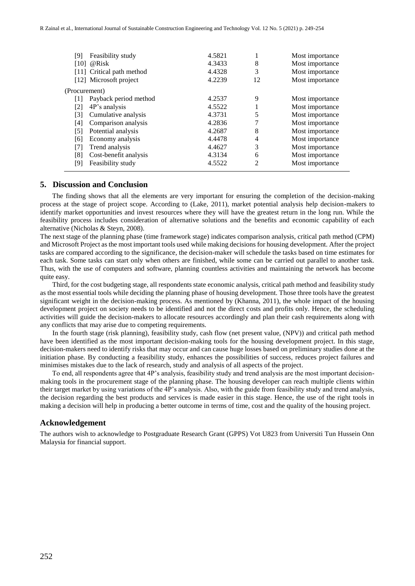| [9]<br>[10]       | Feasibility study<br>@Risk<br>[11] Critical path method | 4.5821<br>4.3433<br>4.4328 | 8<br>3         | Most importance<br>Most importance<br>Most importance |
|-------------------|---------------------------------------------------------|----------------------------|----------------|-------------------------------------------------------|
|                   | [12] Microsoft project                                  | 4.2239                     | 12             | Most importance                                       |
| (Procurement)     |                                                         |                            |                |                                                       |
| [1]               | Payback period method                                   | 4.2537                     | 9              | Most importance                                       |
| $\lceil 2 \rceil$ | 4P's analysis                                           | 4.5522                     |                | Most importance                                       |
| [3]               | Cumulative analysis                                     | 4.3731                     | 5              | Most importance                                       |
| [4]               | Comparison analysis                                     | 4.2836                     | 7              | Most importance                                       |
| [5]               | Potential analysis                                      | 4.2687                     | 8              | Most importance                                       |
| [6]               | Economy analysis                                        | 4.4478                     | 4              | Most importance                                       |
| [7]               | Trend analysis                                          | 4.4627                     | 3              | Most importance                                       |
| [8]               | Cost-benefit analysis                                   | 4.3134                     | 6              | Most importance                                       |
| [9]               | Feasibility study                                       | 4.5522                     | $\mathfrak{D}$ | Most importance                                       |
|                   |                                                         |                            |                |                                                       |

#### **5. Discussion and Conclusion**

 The finding shows that all the elements are very important for ensuring the completion of the decision-making process at the stage of project scope. According to (Lake, 2011), market potential analysis help decision-makers to identify market opportunities and invest resources where they will have the greatest return in the long run. While the feasibility process includes consideration of alternative solutions and the benefits and economic capability of each alternative (Nicholas & Steyn, 2008).

The next stage of the planning phase (time framework stage) indicates comparison analysis, critical path method (CPM) and Microsoft Project as the most important tools used while making decisions for housing development. After the project tasks are compared according to the significance, the decision-maker will schedule the tasks based on time estimates for each task. Some tasks can start only when others are finished, while some can be carried out parallel to another task. Thus, with the use of computers and software, planning countless activities and maintaining the network has become quite easy.

 Third, for the cost budgeting stage, all respondents state economic analysis, critical path method and feasibility study as the most essential tools while deciding the planning phase of housing development. Those three tools have the greatest significant weight in the decision-making process. As mentioned by (Khanna, 2011), the whole impact of the housing development project on society needs to be identified and not the direct costs and profits only. Hence, the scheduling activities will guide the decision-makers to allocate resources accordingly and plan their cash requirements along with any conflicts that may arise due to competing requirements.

 In the fourth stage (risk planning), feasibility study, cash flow (net present value, (NPV)) and critical path method have been identified as the most important decision-making tools for the housing development project. In this stage, decision-makers need to identify risks that may occur and can cause huge losses based on preliminary studies done at the initiation phase. By conducting a feasibility study, enhances the possibilities of success, reduces project failures and minimises mistakes due to the lack of research, study and analysis of all aspects of the project.

 To end, all respondents agree that 4P's analysis, feasibility study and trend analysis are the most important decisionmaking tools in the procurement stage of the planning phase. The housing developer can reach multiple clients within their target market by using variations of the 4P's analysis. Also, with the guide from feasibility study and trend analysis, the decision regarding the best products and services is made easier in this stage. Hence, the use of the right tools in making a decision will help in producing a better outcome in terms of time, cost and the quality of the housing project.

#### **Acknowledgement**

The authors wish to acknowledge to Postgraduate Research Grant (GPPS) Vot U823 from Universiti Tun Hussein Onn Malaysia for financial support.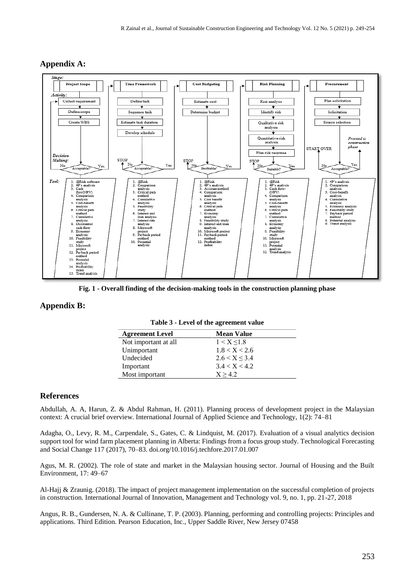

## **Appendix A:**

**Fig. 1 - Overall finding of the decision-making tools in the construction planning phase**

## **Appendix B:**

| <b>Agreement Level</b> | <b>Mean Value</b>  |
|------------------------|--------------------|
| Not important at all   | 1 < X < 1.8        |
| Unimportant            | 1.8 < X < 2.6      |
| Undecided              | $2.6 < X \leq 3.4$ |
| Important              | 3.4 < X < 4.2      |
| Most important         | X > 42             |

|  |  |  | Table 3 - Level of the agreement value |
|--|--|--|----------------------------------------|
|--|--|--|----------------------------------------|

## **References**

Abdullah, A. A, Harun, Z. & Abdul Rahman, H. (2011). Planning process of development project in the Malaysian context: A crucial brief overview. International Journal of Applied Science and Technology, 1(2): 74–81

Adagha, O., Levy, R. M., Carpendale, S., Gates, C. & Lindquist, M. (2017). Evaluation of a visual analytics decision support tool for wind farm placement planning in Alberta: Findings from a focus group study. Technological Forecasting and Social Change 117 (2017), 70–83. doi.org/10.1016/j.techfore.2017.01.007

Agus, M. R. (2002). The role of state and market in the Malaysian housing sector. Journal of Housing and the Built Environment, 17: 49–67

Al-Hajj & Zraunig. (2018). The impact of project management implementation on the successful completion of projects in construction. International Journal of Innovation, Management and Technology vol. 9, no. 1, pp. 21-27, 2018

Angus, R. B., Gundersen, N. A. & Cullinane, T. P. (2003). Planning, performing and controlling projects: Principles and applications. Third Edition. Pearson Education, Inc., Upper Saddle River, New Jersey 07458